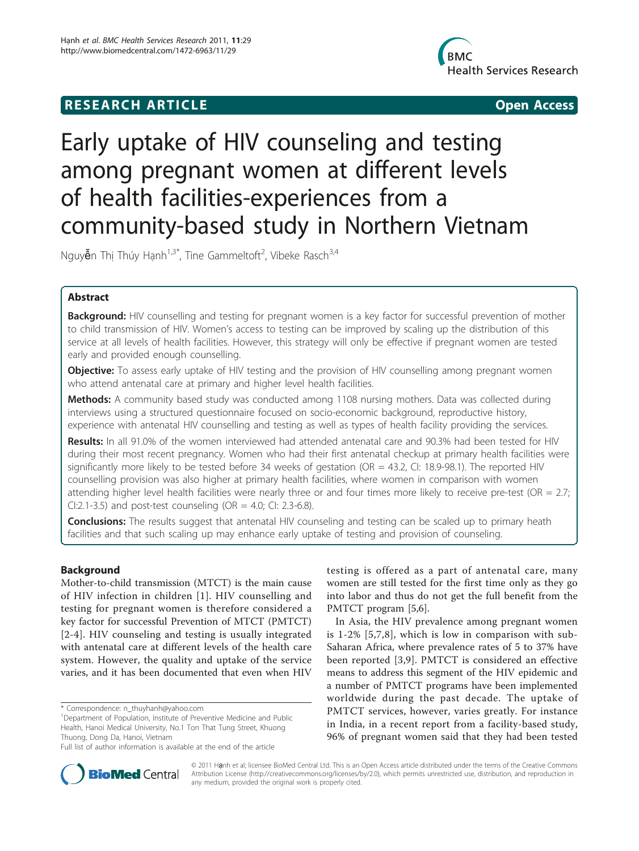# **RESEARCH ARTICLE CONSUMING THE OPEN ACCESS**



# Early uptake of HIV counseling and testing among pregnant women at different levels of health facilities-experiences from a community-based study in Northern Vietnam

Nguy**ễ**n Thị Thúy Hạnh<sup>1,3\*</sup>, Tine Gammeltoft<sup>2</sup>, Vibeke Rasch<sup>3,4</sup>

# Abstract

Background: HIV counselling and testing for pregnant women is a key factor for successful prevention of mother to child transmission of HIV. Women's access to testing can be improved by scaling up the distribution of this service at all levels of health facilities. However, this strategy will only be effective if pregnant women are tested early and provided enough counselling.

**Objective:** To assess early uptake of HIV testing and the provision of HIV counselling among pregnant women who attend antenatal care at primary and higher level health facilities.

**Methods:** A community based study was conducted among 1108 nursing mothers. Data was collected during interviews using a structured questionnaire focused on socio-economic background, reproductive history, experience with antenatal HIV counselling and testing as well as types of health facility providing the services.

Results: In all 91.0% of the women interviewed had attended antenatal care and 90.3% had been tested for HIV during their most recent pregnancy. Women who had their first antenatal checkup at primary health facilities were significantly more likely to be tested before 34 weeks of gestation (OR = 43.2, CI: 18.9-98.1). The reported HIV counselling provision was also higher at primary health facilities, where women in comparison with women attending higher level health facilities were nearly three or and four times more likely to receive pre-test (OR  $= 2.7$ ; CI:2.1-3.5) and post-test counseling (OR = 4.0; CI: 2.3-6.8).

**Conclusions:** The results suggest that antenatal HIV counseling and testing can be scaled up to primary heath facilities and that such scaling up may enhance early uptake of testing and provision of counseling.

# Background

Mother-to-child transmission (MTCT) is the main cause of HIV infection in children [\[1\]](#page-7-0). HIV counselling and testing for pregnant women is therefore considered a key factor for successful Prevention of MTCT (PMTCT) [[2](#page-7-0)-[4\]](#page-7-0). HIV counseling and testing is usually integrated with antenatal care at different levels of the health care system. However, the quality and uptake of the service varies, and it has been documented that even when HIV

\* Correspondence: [n\\_thuyhanh@yahoo.com](mailto:n_thuyhanh@yahoo.com)

testing is offered as a part of antenatal care, many women are still tested for the first time only as they go into labor and thus do not get the full benefit from the PMTCT program [\[5,6](#page-7-0)].

In Asia, the HIV prevalence among pregnant women is 1-2% [\[5,7](#page-7-0),[8\]](#page-7-0), which is low in comparison with sub-Saharan Africa, where prevalence rates of 5 to 37% have been reported [[3,9](#page-7-0)]. PMTCT is considered an effective means to address this segment of the HIV epidemic and a number of PMTCT programs have been implemented worldwide during the past decade. The uptake of PMTCT services, however, varies greatly. For instance in India, in a recent report from a facility-based study, 96% of pregnant women said that they had been tested



© 2011 Hạnh et al; licensee BioMed Central Ltd. This is an Open Access article distributed under the terms of the Creative Commons Attribution License [\(http://creativecommons.org/licenses/by/2.0](http://creativecommons.org/licenses/by/2.0)), which permits unrestricted use, distribution, and reproduction in any medium, provided the original work is properly cited.

<sup>&</sup>lt;sup>1</sup>Department of Population, Institute of Preventive Medicine and Public Health, Hanoi Medical University, No.1 Ton That Tung Street, Khuong Thuong, Dong Da, Hanoi, Vietnam

Full list of author information is available at the end of the article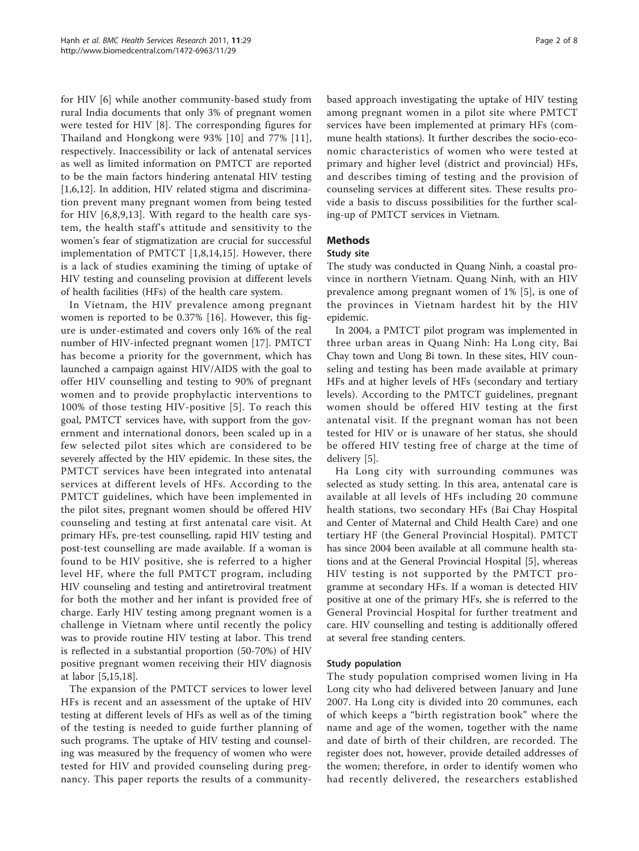for HIV [\[6\]](#page-7-0) while another community-based study from rural India documents that only 3% of pregnant women were tested for HIV [[8\]](#page-7-0). The corresponding figures for Thailand and Hongkong were 93% [[10](#page-7-0)] and 77% [[11](#page-7-0)], respectively. Inaccessibility or lack of antenatal services as well as limited information on PMTCT are reported to be the main factors hindering antenatal HIV testing [[1,6,12\]](#page-7-0). In addition, HIV related stigma and discrimination prevent many pregnant women from being tested for HIV [\[6](#page-7-0),[8,9](#page-7-0),[13\]](#page-7-0). With regard to the health care system, the health staff's attitude and sensitivity to the women's fear of stigmatization are crucial for successful implementation of PMTCT [[1,8](#page-7-0),[14,15](#page-7-0)]. However, there is a lack of studies examining the timing of uptake of HIV testing and counseling provision at different levels of health facilities (HFs) of the health care system.

In Vietnam, the HIV prevalence among pregnant women is reported to be 0.37% [[16\]](#page-7-0). However, this figure is under-estimated and covers only 16% of the real number of HIV-infected pregnant women [[17](#page-7-0)]. PMTCT has become a priority for the government, which has launched a campaign against HIV/AIDS with the goal to offer HIV counselling and testing to 90% of pregnant women and to provide prophylactic interventions to 100% of those testing HIV-positive [[5\]](#page-7-0). To reach this goal, PMTCT services have, with support from the government and international donors, been scaled up in a few selected pilot sites which are considered to be severely affected by the HIV epidemic. In these sites, the PMTCT services have been integrated into antenatal services at different levels of HFs. According to the PMTCT guidelines, which have been implemented in the pilot sites, pregnant women should be offered HIV counseling and testing at first antenatal care visit. At primary HFs, pre-test counselling, rapid HIV testing and post-test counselling are made available. If a woman is found to be HIV positive, she is referred to a higher level HF, where the full PMTCT program, including HIV counseling and testing and antiretroviral treatment for both the mother and her infant is provided free of charge. Early HIV testing among pregnant women is a challenge in Vietnam where until recently the policy was to provide routine HIV testing at labor. This trend is reflected in a substantial proportion (50-70%) of HIV positive pregnant women receiving their HIV diagnosis at labor [[5](#page-7-0),[15](#page-7-0),[18](#page-7-0)].

The expansion of the PMTCT services to lower level HFs is recent and an assessment of the uptake of HIV testing at different levels of HFs as well as of the timing of the testing is needed to guide further planning of such programs. The uptake of HIV testing and counseling was measured by the frequency of women who were tested for HIV and provided counseling during pregnancy. This paper reports the results of a communitybased approach investigating the uptake of HIV testing among pregnant women in a pilot site where PMTCT services have been implemented at primary HFs (commune health stations). It further describes the socio-economic characteristics of women who were tested at primary and higher level (district and provincial) HFs, and describes timing of testing and the provision of counseling services at different sites. These results provide a basis to discuss possibilities for the further scaling-up of PMTCT services in Vietnam.

# Methods

# Study site

The study was conducted in Quang Ninh, a coastal province in northern Vietnam. Quang Ninh, with an HIV prevalence among pregnant women of 1% [\[5](#page-7-0)], is one of the provinces in Vietnam hardest hit by the HIV epidemic.

In 2004, a PMTCT pilot program was implemented in three urban areas in Quang Ninh: Ha Long city, Bai Chay town and Uong Bi town. In these sites, HIV counseling and testing has been made available at primary HFs and at higher levels of HFs (secondary and tertiary levels). According to the PMTCT guidelines, pregnant women should be offered HIV testing at the first antenatal visit. If the pregnant woman has not been tested for HIV or is unaware of her status, she should be offered HIV testing free of charge at the time of delivery [[5\]](#page-7-0).

Ha Long city with surrounding communes was selected as study setting. In this area, antenatal care is available at all levels of HFs including 20 commune health stations, two secondary HFs (Bai Chay Hospital and Center of Maternal and Child Health Care) and one tertiary HF (the General Provincial Hospital). PMTCT has since 2004 been available at all commune health stations and at the General Provincial Hospital [\[5](#page-7-0)], whereas HIV testing is not supported by the PMTCT programme at secondary HFs. If a woman is detected HIV positive at one of the primary HFs, she is referred to the General Provincial Hospital for further treatment and care. HIV counselling and testing is additionally offered at several free standing centers.

# Study population

The study population comprised women living in Ha Long city who had delivered between January and June 2007. Ha Long city is divided into 20 communes, each of which keeps a "birth registration book" where the name and age of the women, together with the name and date of birth of their children, are recorded. The register does not, however, provide detailed addresses of the women; therefore, in order to identify women who had recently delivered, the researchers established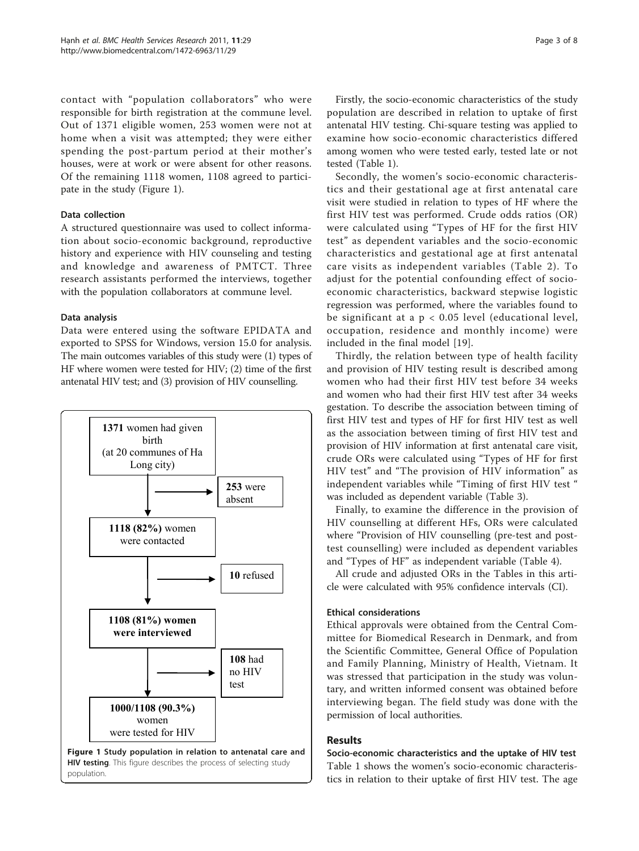contact with "population collaborators" who were responsible for birth registration at the commune level. Out of 1371 eligible women, 253 women were not at home when a visit was attempted; they were either spending the post-partum period at their mother's houses, were at work or were absent for other reasons. Of the remaining 1118 women, 1108 agreed to participate in the study (Figure 1).

# Data collection

A structured questionnaire was used to collect information about socio-economic background, reproductive history and experience with HIV counseling and testing and knowledge and awareness of PMTCT. Three research assistants performed the interviews, together with the population collaborators at commune level.

### Data analysis

Data were entered using the software EPIDATA and exported to SPSS for Windows, version 15.0 for analysis. The main outcomes variables of this study were (1) types of HF where women were tested for HIV; (2) time of the first antenatal HIV test; and (3) provision of HIV counselling.



Firstly, the socio-economic characteristics of the study population are described in relation to uptake of first antenatal HIV testing. Chi-square testing was applied to examine how socio-economic characteristics differed among women who were tested early, tested late or not tested (Table [1](#page-3-0)).

Secondly, the women's socio-economic characteristics and their gestational age at first antenatal care visit were studied in relation to types of HF where the first HIV test was performed. Crude odds ratios (OR) were calculated using "Types of HF for the first HIV test" as dependent variables and the socio-economic characteristics and gestational age at first antenatal care visits as independent variables (Table [2\)](#page-4-0). To adjust for the potential confounding effect of socioeconomic characteristics, backward stepwise logistic regression was performed, where the variables found to be significant at a  $p < 0.05$  level (educational level, occupation, residence and monthly income) were included in the final model [[19\]](#page-7-0).

Thirdly, the relation between type of health facility and provision of HIV testing result is described among women who had their first HIV test before 34 weeks and women who had their first HIV test after 34 weeks gestation. To describe the association between timing of first HIV test and types of HF for first HIV test as well as the association between timing of first HIV test and provision of HIV information at first antenatal care visit, crude ORs were calculated using "Types of HF for first HIV test" and "The provision of HIV information" as independent variables while "Timing of first HIV test " was included as dependent variable (Table [3](#page-5-0)).

Finally, to examine the difference in the provision of HIV counselling at different HFs, ORs were calculated where "Provision of HIV counselling (pre-test and posttest counselling) were included as dependent variables and "Types of HF" as independent variable (Table [4\)](#page-5-0).

All crude and adjusted ORs in the Tables in this article were calculated with 95% confidence intervals (CI).

#### Ethical considerations

Ethical approvals were obtained from the Central Committee for Biomedical Research in Denmark, and from the Scientific Committee, General Office of Population and Family Planning, Ministry of Health, Vietnam. It was stressed that participation in the study was voluntary, and written informed consent was obtained before interviewing began. The field study was done with the permission of local authorities.

#### Results

Socio-economic characteristics and the uptake of HIV test Table [1](#page-3-0) shows the women's socio-economic characteristics in relation to their uptake of first HIV test. The age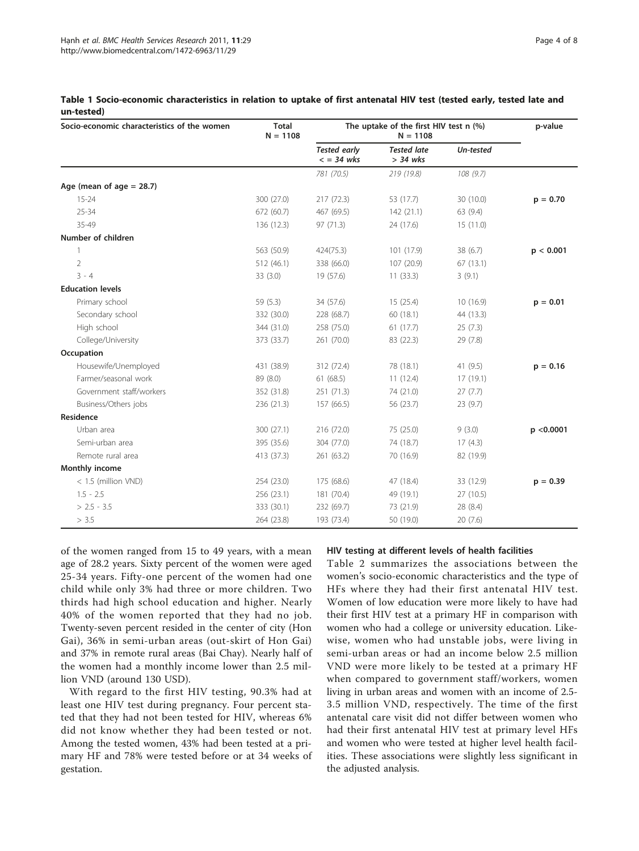| Socio-economic characteristics of the women | <b>Total</b><br>$N = 1108$ | The uptake of the first HIV test n (%)<br>$N = 1108$ |                                  |           | p-value    |
|---------------------------------------------|----------------------------|------------------------------------------------------|----------------------------------|-----------|------------|
|                                             |                            | <b>Tested early</b><br>$\epsilon$ = 34 wks           | <b>Tested late</b><br>$> 34$ wks | Un-tested |            |
|                                             |                            | 781 (70.5)                                           | 219 (19.8)                       | 108(9.7)  |            |
| Age (mean of $age = 28.7$ )                 |                            |                                                      |                                  |           |            |
| $15 - 24$                                   | 300 (27.0)                 | 217(72.3)                                            | 53 (17.7)                        | 30 (10.0) | $p = 0.70$ |
| $25 - 34$                                   | 672 (60.7)                 | 467 (69.5)                                           | 142(21.1)                        | 63 (9.4)  |            |
| 35-49                                       | 136 (12.3)                 | 97(71.3)                                             | 24 (17.6)                        | 15(11.0)  |            |
| Number of children                          |                            |                                                      |                                  |           |            |
|                                             | 563 (50.9)                 | 424(75.3)                                            | 101 (17.9)                       | 38(6.7)   | p < 0.001  |
| $\overline{2}$                              | 512 (46.1)                 | 338 (66.0)                                           | 107(20.9)                        | 67 (13.1) |            |
| $3 - 4$                                     | 33(3.0)                    | 19 (57.6)                                            | 11(33.3)                         | 3(9.1)    |            |
| <b>Education levels</b>                     |                            |                                                      |                                  |           |            |
| Primary school                              | 59 (5.3)                   | 34 (57.6)                                            | 15(25.4)                         | 10(16.9)  | $p = 0.01$ |
| Secondary school                            | 332 (30.0)                 | 228 (68.7)                                           | 60 (18.1)                        | 44 (13.3) |            |
| High school                                 | 344 (31.0)                 | 258 (75.0)                                           | 61(17.7)                         | 25(7.3)   |            |
| College/University                          | 373 (33.7)                 | 261 (70.0)                                           | 83 (22.3)                        | 29 (7.8)  |            |
| Occupation                                  |                            |                                                      |                                  |           |            |
| Housewife/Unemployed                        | 431 (38.9)                 | 312 (72.4)                                           | 78 (18.1)                        | 41 (9.5)  | $p = 0.16$ |
| Farmer/seasonal work                        | 89 (8.0)                   | 61(68.5)                                             | 11(12.4)                         | 17 (19.1) |            |
| Government staff/workers                    | 352 (31.8)                 | 251(71.3)                                            | 74 (21.0)                        | 27(7.7)   |            |
| Business/Others jobs                        | 236 (21.3)                 | 157 (66.5)                                           | 56 (23.7)                        | 23 (9.7)  |            |
| Residence                                   |                            |                                                      |                                  |           |            |
| Urban area                                  | 300 (27.1)                 | 216 (72.0)                                           | 75 (25.0)                        | 9(3.0)    | p < 0.0001 |
| Semi-urban area                             | 395 (35.6)                 | 304 (77.0)                                           | 74 (18.7)                        | 17(4.3)   |            |
| Remote rural area                           | 413 (37.3)                 | 261 (63.2)                                           | 70 (16.9)                        | 82 (19.9) |            |
| Monthly income                              |                            |                                                      |                                  |           |            |
| < 1.5 (million VND)                         | 254 (23.0)                 | 175 (68.6)                                           | 47 (18.4)                        | 33 (12.9) | $p = 0.39$ |
| $1.5 - 2.5$                                 | 256 (23.1)                 | 181 (70.4)                                           | 49 (19.1)                        | 27(10.5)  |            |
| $> 2.5 - 3.5$                               | 333 (30.1)                 | 232 (69.7)                                           | 73 (21.9)                        | 28 (8.4)  |            |
| > 3.5                                       | 264 (23.8)                 | 193 (73.4)                                           | 50 (19.0)                        | 20(7.6)   |            |

<span id="page-3-0"></span>Table 1 Socio-economic characteristics in relation to uptake of first antenatal HIV test (tested early, tested late and un-tested)

of the women ranged from 15 to 49 years, with a mean age of 28.2 years. Sixty percent of the women were aged 25-34 years. Fifty-one percent of the women had one child while only 3% had three or more children. Two thirds had high school education and higher. Nearly 40% of the women reported that they had no job. Twenty-seven percent resided in the center of city (Hon Gai), 36% in semi-urban areas (out-skirt of Hon Gai) and 37% in remote rural areas (Bai Chay). Nearly half of the women had a monthly income lower than 2.5 million VND (around 130 USD).

With regard to the first HIV testing, 90.3% had at least one HIV test during pregnancy. Four percent stated that they had not been tested for HIV, whereas 6% did not know whether they had been tested or not. Among the tested women, 43% had been tested at a primary HF and 78% were tested before or at 34 weeks of gestation.

# HIV testing at different levels of health facilities

Table [2](#page-4-0) summarizes the associations between the women's socio-economic characteristics and the type of HFs where they had their first antenatal HIV test. Women of low education were more likely to have had their first HIV test at a primary HF in comparison with women who had a college or university education. Likewise, women who had unstable jobs, were living in semi-urban areas or had an income below 2.5 million VND were more likely to be tested at a primary HF when compared to government staff/workers, women living in urban areas and women with an income of 2.5- 3.5 million VND, respectively. The time of the first antenatal care visit did not differ between women who had their first antenatal HIV test at primary level HFs and women who were tested at higher level health facilities. These associations were slightly less significant in the adjusted analysis.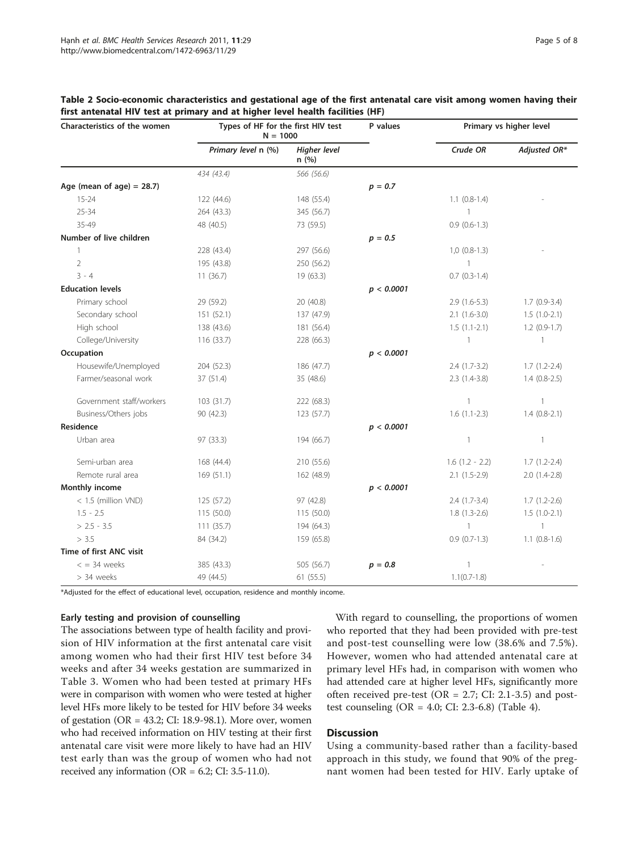| Characteristics of the women | Types of HF for the first HIV test<br>$N = 1000$ |                             | P values   | Primary vs higher level |                  |
|------------------------------|--------------------------------------------------|-----------------------------|------------|-------------------------|------------------|
|                              | Primary level n (%)                              | <b>Higher level</b><br>n(%) |            | Crude OR                | Adjusted OR*     |
|                              | 434 (43.4)                                       | 566 (56.6)                  |            |                         |                  |
| Age (mean of age) $= 28.7$ ) |                                                  |                             | $p = 0.7$  |                         |                  |
| $15 - 24$                    | 122 (44.6)                                       | 148 (55.4)                  |            | $1.1$ $(0.8-1.4)$       |                  |
| $25 - 34$                    | 264 (43.3)                                       | 345 (56.7)                  |            | $\mathbf{1}$            |                  |
| 35-49                        | 48 (40.5)                                        | 73 (59.5)                   |            | $0.9(0.6-1.3)$          |                  |
| Number of live children      |                                                  |                             | $p = 0.5$  |                         |                  |
| $\mathbf{1}$                 | 228 (43.4)                                       | 297 (56.6)                  |            | $1,0(0.8-1.3)$          |                  |
| $\overline{2}$               | 195 (43.8)                                       | 250 (56.2)                  |            | $\mathbf{1}$            |                  |
| $3 - 4$                      | 11(36.7)                                         | 19(63.3)                    |            | $0.7$ $(0.3-1.4)$       |                  |
| <b>Education levels</b>      |                                                  |                             | p < 0.0001 |                         |                  |
| Primary school               | 29 (59.2)                                        | 20 (40.8)                   |            | $2.9(1.6-5.3)$          | $1.7(0.9-3.4)$   |
| Secondary school             | 151 (52.1)                                       | 137 (47.9)                  |            | $2.1(1.6-3.0)$          | $1.5(1.0-2.1)$   |
| High school                  | 138 (43.6)                                       | 181 (56.4)                  |            | $1.5(1.1-2.1)$          | $1.2(0.9-1.7)$   |
| College/University           | 116 (33.7)                                       | 228 (66.3)                  |            | $\mathbf{1}$            | $\mathbf{1}$     |
| Occupation                   |                                                  |                             | p < 0.0001 |                         |                  |
| Housewife/Unemployed         | 204 (52.3)                                       | 186 (47.7)                  |            | $2.4(1.7-3.2)$          | $1.7(1.2 - 2.4)$ |
| Farmer/seasonal work         | 37 (51.4)                                        | 35 (48.6)                   |            | $2.3(1.4-3.8)$          | $1.4(0.8-2.5)$   |
| Government staff/workers     | 103(31.7)                                        | 222 (68.3)                  |            | $\overline{1}$          | $\mathbf{1}$     |
| Business/Others jobs         | 90 (42.3)                                        | 123 (57.7)                  |            | $1.6(1.1-2.3)$          | $1.4(0.8-2.1)$   |
| Residence                    |                                                  |                             | p < 0.0001 |                         |                  |
| Urban area                   | 97 (33.3)                                        | 194 (66.7)                  |            | $\mathbf{1}$            | $\mathbf{1}$     |
| Semi-urban area              | 168 (44.4)                                       | 210 (55.6)                  |            | $1.6$ $(1.2 - 2.2)$     | $1.7(1.2-2.4)$   |
| Remote rural area            | 169(51.1)                                        | 162 (48.9)                  |            | $2.1(1.5-2.9)$          | $2.0(1.4-2.8)$   |
| Monthly income               |                                                  |                             | p < 0.0001 |                         |                  |
| < 1.5 (million VND)          | 125(57.2)                                        | 97 (42.8)                   |            | $2.4(1.7-3.4)$          | $1.7(1.2-2.6)$   |
| $1.5 - 2.5$                  | 115 (50.0)                                       | 115 (50.0)                  |            | $1.8(1.3-2.6)$          | $1.5(1.0-2.1)$   |
| $> 2.5 - 3.5$                | 111(35.7)                                        | 194 (64.3)                  |            | $\overline{1}$          | 1                |
| > 3.5                        | 84 (34.2)                                        | 159 (65.8)                  |            | $0.9(0.7-1.3)$          | $1.1(0.8-1.6)$   |
| Time of first ANC visit      |                                                  |                             |            |                         |                  |
| $<$ = 34 weeks               | 385 (43.3)                                       | 505 (56.7)                  | $p = 0.8$  | $\mathbf{1}$            |                  |
| > 34 weeks                   | 49 (44.5)                                        | 61(55.5)                    |            | $1.1(0.7-1.8)$          |                  |

## <span id="page-4-0"></span>Table 2 Socio-economic characteristics and gestational age of the first antenatal care visit among women having their first antenatal HIV test at primary and at higher level health facilities (HF)

\*Adjusted for the effect of educational level, occupation, residence and monthly income.

#### Early testing and provision of counselling

The associations between type of health facility and provision of HIV information at the first antenatal care visit among women who had their first HIV test before 34 weeks and after 34 weeks gestation are summarized in Table [3](#page-5-0). Women who had been tested at primary HFs were in comparison with women who were tested at higher level HFs more likely to be tested for HIV before 34 weeks of gestation ( $OR = 43.2$ ; CI: 18.9-98.1). More over, women who had received information on HIV testing at their first antenatal care visit were more likely to have had an HIV test early than was the group of women who had not received any information ( $OR = 6.2$ ; CI: 3.5-11.0).

With regard to counselling, the proportions of women who reported that they had been provided with pre-test and post-test counselling were low (38.6% and 7.5%). However, women who had attended antenatal care at primary level HFs had, in comparison with women who had attended care at higher level HFs, significantly more often received pre-test (OR = 2.7; CI: 2.1-3.5) and post-test counseling (OR = 4.0; CI: 2.3-6.8) (Table [4\)](#page-5-0).

#### **Discussion**

Using a community-based rather than a facility-based approach in this study, we found that 90% of the pregnant women had been tested for HIV. Early uptake of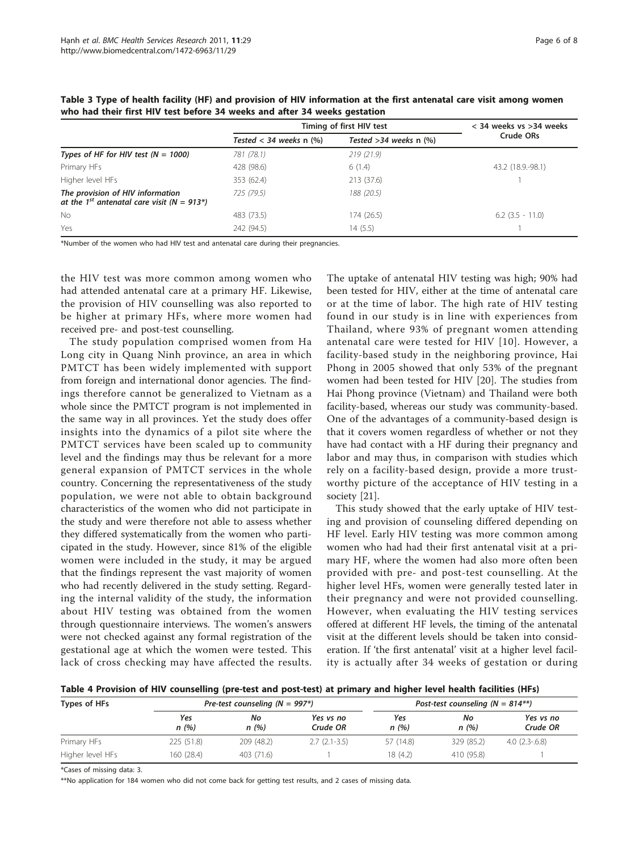|                                                                                            | Timing of first HIV test     | $<$ 34 weeks vs $>$ 34 weeks |                    |
|--------------------------------------------------------------------------------------------|------------------------------|------------------------------|--------------------|
|                                                                                            | Tested $<$ 34 weeks n $(\%)$ | Tested $>34$ weeks n $(\%)$  | Crude ORs          |
| Types of HF for HIV test $(N = 1000)$                                                      | 781 (78.1)                   | 219(21.9)                    |                    |
| Primary HFs                                                                                | 428 (98.6)                   | 6(1.4)                       | 43.2 (18.9.-98.1)  |
| Higher level HFs                                                                           | 353 (62.4)                   | 213 (37.6)                   |                    |
| The provision of HIV information<br>at the 1 <sup>st</sup> antenatal care visit (N = 913*) | 725 (79.5)                   | 188 (20.5)                   |                    |
| No.                                                                                        | 483 (73.5)                   | 174 (26.5)                   | $6.2$ (3.5 - 11.0) |
| Yes                                                                                        | 242 (94.5)                   | 14(5.5)                      |                    |

<span id="page-5-0"></span>Table 3 Type of health facility (HF) and provision of HIV information at the first antenatal care visit among women who had their first HIV test before 34 weeks and after 34 weeks gestation

\*Number of the women who had HIV test and antenatal care during their pregnancies.

the HIV test was more common among women who had attended antenatal care at a primary HF. Likewise, the provision of HIV counselling was also reported to be higher at primary HFs, where more women had received pre- and post-test counselling.

The study population comprised women from Ha Long city in Quang Ninh province, an area in which PMTCT has been widely implemented with support from foreign and international donor agencies. The findings therefore cannot be generalized to Vietnam as a whole since the PMTCT program is not implemented in the same way in all provinces. Yet the study does offer insights into the dynamics of a pilot site where the PMTCT services have been scaled up to community level and the findings may thus be relevant for a more general expansion of PMTCT services in the whole country. Concerning the representativeness of the study population, we were not able to obtain background characteristics of the women who did not participate in the study and were therefore not able to assess whether they differed systematically from the women who participated in the study. However, since 81% of the eligible women were included in the study, it may be argued that the findings represent the vast majority of women who had recently delivered in the study setting. Regarding the internal validity of the study, the information about HIV testing was obtained from the women through questionnaire interviews. The women's answers were not checked against any formal registration of the gestational age at which the women were tested. This lack of cross checking may have affected the results.

The uptake of antenatal HIV testing was high; 90% had been tested for HIV, either at the time of antenatal care or at the time of labor. The high rate of HIV testing found in our study is in line with experiences from Thailand, where 93% of pregnant women attending antenatal care were tested for HIV [\[10](#page-7-0)]. However, a facility-based study in the neighboring province, Hai Phong in 2005 showed that only 53% of the pregnant women had been tested for HIV [[20\]](#page-7-0). The studies from Hai Phong province (Vietnam) and Thailand were both facility-based, whereas our study was community-based. One of the advantages of a community-based design is that it covers women regardless of whether or not they have had contact with a HF during their pregnancy and labor and may thus, in comparison with studies which rely on a facility-based design, provide a more trustworthy picture of the acceptance of HIV testing in a society [[21\]](#page-7-0).

This study showed that the early uptake of HIV testing and provision of counseling differed depending on HF level. Early HIV testing was more common among women who had had their first antenatal visit at a primary HF, where the women had also more often been provided with pre- and post-test counselling. At the higher level HFs, women were generally tested later in their pregnancy and were not provided counselling. However, when evaluating the HIV testing services offered at different HF levels, the timing of the antenatal visit at the different levels should be taken into consideration. If 'the first antenatal' visit at a higher level facility is actually after 34 weeks of gestation or during

Table 4 Provision of HIV counselling (pre-test and post-test) at primary and higher level health facilities (HFs)

| Types of HFs     |             | Pre-test counseling ( $N = 997$ *) |                       |              | Post-test counseling $(N = 814**)$ |                       |  |
|------------------|-------------|------------------------------------|-----------------------|--------------|------------------------------------|-----------------------|--|
|                  | Yes<br>n(%) | No<br>n(%)                         | Yes vs no<br>Crude OR | Yes<br>n(96) | No<br>n(96)                        | Yes vs no<br>Crude OR |  |
| Primary HFs      | 225 (51.8)  | 209 (48.2)                         | $2.7(2.1-3.5)$        | 57 (14.8)    | 329 (85.2)                         | $4.0(2.3-6.8)$        |  |
| Higher level HFs | 160 (28.4)  | 403 (71.6)                         |                       | 18 (4.2)     | 410 (95.8)                         |                       |  |

\*Cases of missing data: 3.

\*\*No application for 184 women who did not come back for getting test results, and 2 cases of missing data.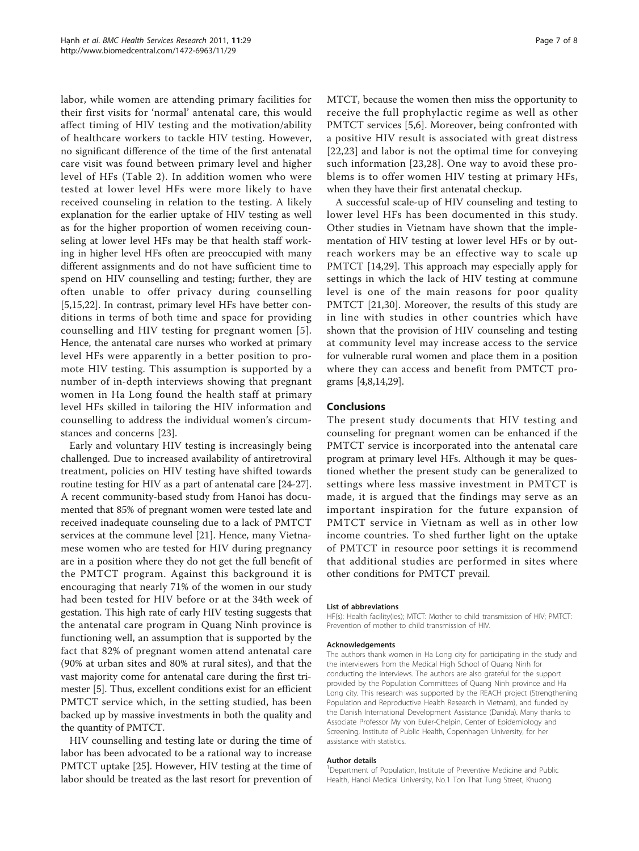labor, while women are attending primary facilities for their first visits for 'normal' antenatal care, this would affect timing of HIV testing and the motivation/ability of healthcare workers to tackle HIV testing. However, no significant difference of the time of the first antenatal care visit was found between primary level and higher level of HFs (Table [2\)](#page-4-0). In addition women who were tested at lower level HFs were more likely to have received counseling in relation to the testing. A likely explanation for the earlier uptake of HIV testing as well as for the higher proportion of women receiving counseling at lower level HFs may be that health staff working in higher level HFs often are preoccupied with many different assignments and do not have sufficient time to spend on HIV counselling and testing; further, they are often unable to offer privacy during counselling [[5,15,22](#page-7-0)]. In contrast, primary level HFs have better conditions in terms of both time and space for providing counselling and HIV testing for pregnant women [[5\]](#page-7-0). Hence, the antenatal care nurses who worked at primary level HFs were apparently in a better position to promote HIV testing. This assumption is supported by a number of in-depth interviews showing that pregnant women in Ha Long found the health staff at primary level HFs skilled in tailoring the HIV information and counselling to address the individual women's circumstances and concerns [\[23\]](#page-7-0).

Early and voluntary HIV testing is increasingly being challenged. Due to increased availability of antiretroviral treatment, policies on HIV testing have shifted towards routine testing for HIV as a part of antenatal care [\[24](#page-7-0)-[27](#page-7-0)]. A recent community-based study from Hanoi has documented that 85% of pregnant women were tested late and received inadequate counseling due to a lack of PMTCT services at the commune level [[21\]](#page-7-0). Hence, many Vietnamese women who are tested for HIV during pregnancy are in a position where they do not get the full benefit of the PMTCT program. Against this background it is encouraging that nearly 71% of the women in our study had been tested for HIV before or at the 34th week of gestation. This high rate of early HIV testing suggests that the antenatal care program in Quang Ninh province is functioning well, an assumption that is supported by the fact that 82% of pregnant women attend antenatal care (90% at urban sites and 80% at rural sites), and that the vast majority come for antenatal care during the first trimester [[5\]](#page-7-0). Thus, excellent conditions exist for an efficient PMTCT service which, in the setting studied, has been backed up by massive investments in both the quality and the quantity of PMTCT.

HIV counselling and testing late or during the time of labor has been advocated to be a rational way to increase PMTCT uptake [[25\]](#page-7-0). However, HIV testing at the time of labor should be treated as the last resort for prevention of

MTCT, because the women then miss the opportunity to receive the full prophylactic regime as well as other PMTCT services [\[5](#page-7-0),[6\]](#page-7-0). Moreover, being confronted with a positive HIV result is associated with great distress [[22](#page-7-0),[23\]](#page-7-0) and labor is not the optimal time for conveying such information [[23](#page-7-0),[28\]](#page-7-0). One way to avoid these problems is to offer women HIV testing at primary HFs, when they have their first antenatal checkup.

A successful scale-up of HIV counseling and testing to lower level HFs has been documented in this study. Other studies in Vietnam have shown that the implementation of HIV testing at lower level HFs or by outreach workers may be an effective way to scale up PMTCT [[14,29\]](#page-7-0). This approach may especially apply for settings in which the lack of HIV testing at commune level is one of the main reasons for poor quality PMTCT [[21,30](#page-7-0)]. Moreover, the results of this study are in line with studies in other countries which have shown that the provision of HIV counseling and testing at community level may increase access to the service for vulnerable rural women and place them in a position where they can access and benefit from PMTCT programs [[4,8,14,29](#page-7-0)].

### Conclusions

The present study documents that HIV testing and counseling for pregnant women can be enhanced if the PMTCT service is incorporated into the antenatal care program at primary level HFs. Although it may be questioned whether the present study can be generalized to settings where less massive investment in PMTCT is made, it is argued that the findings may serve as an important inspiration for the future expansion of PMTCT service in Vietnam as well as in other low income countries. To shed further light on the uptake of PMTCT in resource poor settings it is recommend that additional studies are performed in sites where other conditions for PMTCT prevail.

#### List of abbreviations

HF(s): Health facility(ies); MTCT: Mother to child transmission of HIV; PMTCT: Prevention of mother to child transmission of HIV.

#### Acknowledgements

The authors thank women in Ha Long city for participating in the study and the interviewers from the Medical High School of Quang Ninh for conducting the interviews. The authors are also grateful for the support provided by the Population Committees of Quang Ninh province and Ha Long city. This research was supported by the REACH project (Strengthening Population and Reproductive Health Research in Vietnam), and funded by the Danish International Development Assistance (Danida). Many thanks to Associate Professor My von Euler-Chelpin, Center of Epidemiology and Screening, Institute of Public Health, Copenhagen University, for her assistance with statistics.

#### Author details

<sup>1</sup>Department of Population, Institute of Preventive Medicine and Public Health, Hanoi Medical University, No.1 Ton That Tung Street, Khuong